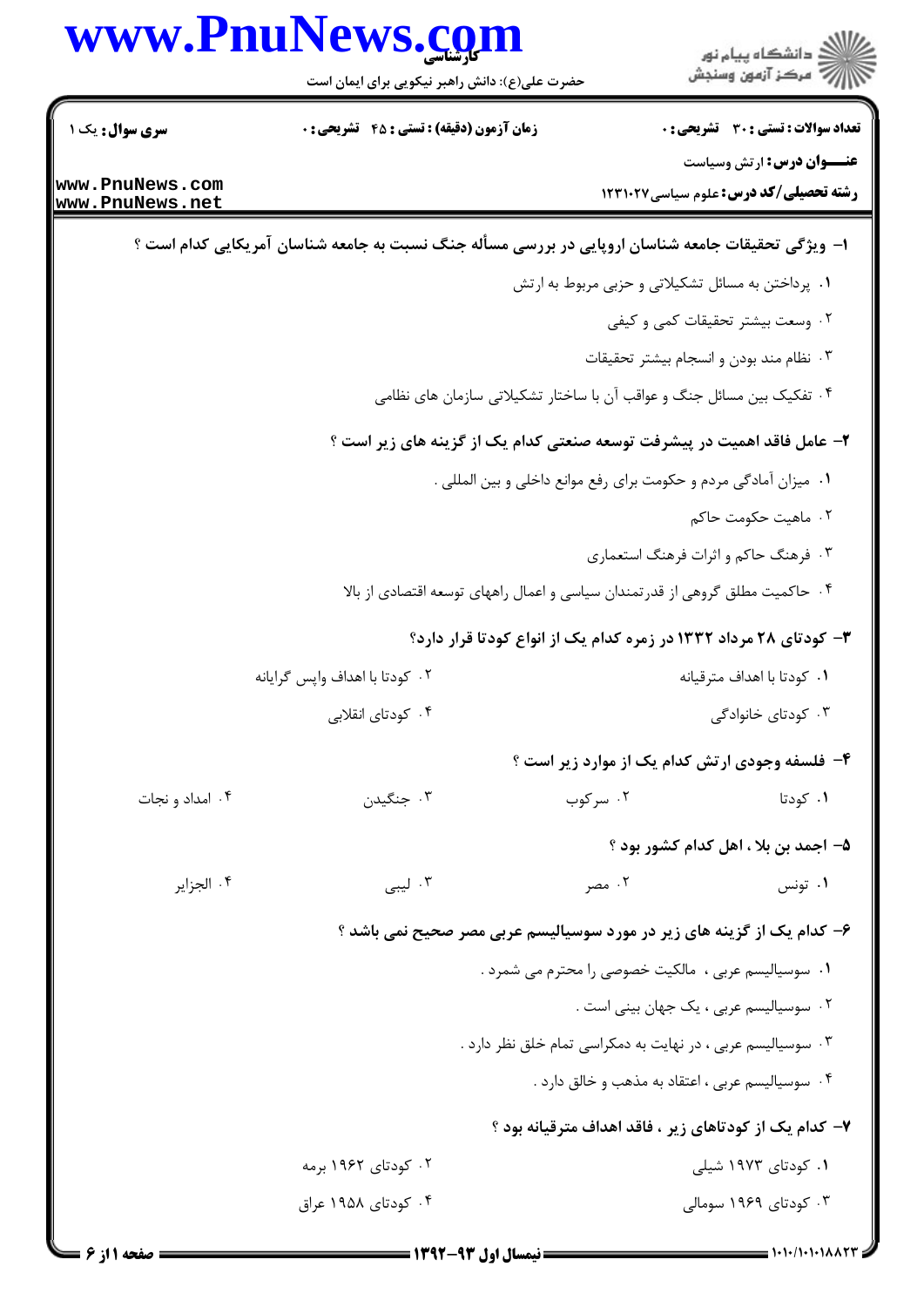|                 | www.PnuNews.com                                                                                   |          | ڪ دانشڪاه پيا <sub>م</sub> نور<br>∕7 مرڪز آزمون وسنڊش                                                                                        |
|-----------------|---------------------------------------------------------------------------------------------------|----------|----------------------------------------------------------------------------------------------------------------------------------------------|
|                 | حضرت علی(ع): دانش راهبر نیکویی برای ایمان است                                                     |          |                                                                                                                                              |
| سری سوال: یک ۱  | زمان آزمون (دقیقه) : تستی : 45 آتشریحی : 0                                                        |          | <b>تعداد سوالات : تستی : 30 ٪ تشریحی : 0</b>                                                                                                 |
| www.PnuNews.com |                                                                                                   |          | <b>عنـــوان درس:</b> ارتش وسیاست                                                                                                             |
| www.PnuNews.net |                                                                                                   |          | رشته تحصیلی/کد درس: علوم سیاسی۱۲۳۱۰۲۷                                                                                                        |
|                 | ۱– ویژگی تحقیقات جامعه شناسان اروپایی در بررسی مسأله جنگ نسبت به جامعه شناسان آمریکایی کدام است ؟ |          |                                                                                                                                              |
|                 |                                                                                                   |          | ۰۱ پرداختن به مسائل تشکیلاتی و حزبی مربوط به ارتش                                                                                            |
|                 |                                                                                                   |          | ۰۲ وسعت بیشتر تحقیقات کمی و کیفی                                                                                                             |
|                 |                                                                                                   |          | ۰۳ نظام مند بودن و انسجام بیشتر تحقیقات                                                                                                      |
|                 |                                                                                                   |          | ۰۴ تفکیک بین مسائل جنگ و عواقب آن با ساختار تشکیلاتی سازمان های نظامی                                                                        |
|                 |                                                                                                   |          | ۲- عامل فاقد اهمیت در پیشرفت توسعه صنعتی کدام یک از گزینه های زیر است ؟                                                                      |
|                 |                                                                                                   |          | ٠١ ميزان آمادگي مردم و حكومت براي رفع موانع داخلي و بين المللي .                                                                             |
|                 |                                                                                                   |          | ۰۲ ماهيت حكومت حاكم                                                                                                                          |
|                 |                                                                                                   |          | ۰۳ فرهنگ حاکم و اثرات فرهنگ استعماری                                                                                                         |
|                 | ۰۴ حاکمیت مطلق گروهی از قدرتمندان سیاسی و اعمال راههای توسعه اقتصادی از بالا                      |          |                                                                                                                                              |
|                 |                                                                                                   |          | ۳- کودتای ۲۸ مرداد ۱۳۳۲ در زمره کدام یک از انواع کودتا قرار دارد؟                                                                            |
|                 | ٠٢ كودتا با اهداف واپس گرايانه                                                                    |          | ۰۱ کودتا با اهداف مترقیانه                                                                                                                   |
|                 | ۰۴ کودتای انقلابی                                                                                 |          | ۰۳ کودتای خانوادگی                                                                                                                           |
|                 |                                                                                                   |          | ۴- فلسفه وجودی ارتش کدام یک از موارد زیر است ؟                                                                                               |
| ۰۴ امداد و نجات | ۰۳ جنگیدن                                                                                         | ۰۲ سرکوب | ۰۱ کودتا                                                                                                                                     |
|                 |                                                                                                   |          | ۵- اجمد بن بلا ، اهل کدام کشور بود ؟                                                                                                         |
| ۰۴ الجزاير      | ۰۳ لیبی                                                                                           | ۰۲ مصر   | ۰۱ تونس                                                                                                                                      |
|                 |                                                                                                   |          |                                                                                                                                              |
|                 |                                                                                                   |          | ۶- کدام یک از گزینه های زیر در مورد سوسیالیسم عربی مصر صحیح نمی باشد ؟<br><mark>۱</mark> . سوسیالیسم عربی ،  مالکیت خصوصی را محترم می شمرد . |
|                 |                                                                                                   |          | ٢. سوسیالیسم عربی ، یک جهان بینی است .                                                                                                       |
|                 |                                                                                                   |          | ۰۳ سوسیالیسم عربی ، در نهایت به دمکراسی تمام خلق نظر دارد .                                                                                  |
|                 |                                                                                                   |          | ۰۴ سوسیالیسم عربی ، اعتقاد به مذهب و خالق دارد .                                                                                             |
|                 |                                                                                                   |          |                                                                                                                                              |
|                 |                                                                                                   |          | ۷– کدام یک از کودتاهای زیر ، فاقد اهداف مترقیانه بود ؟                                                                                       |
|                 | ۰۲ کودتای ۱۹۶۲ برمه<br>۰۴ کودتای ۱۹۵۸ عراق                                                        |          | ۰۱ کودتای ۱۹۷۳ شیلی<br>۰۳ کودتای ۱۹۶۹ سومالی                                                                                                 |
|                 |                                                                                                   |          |                                                                                                                                              |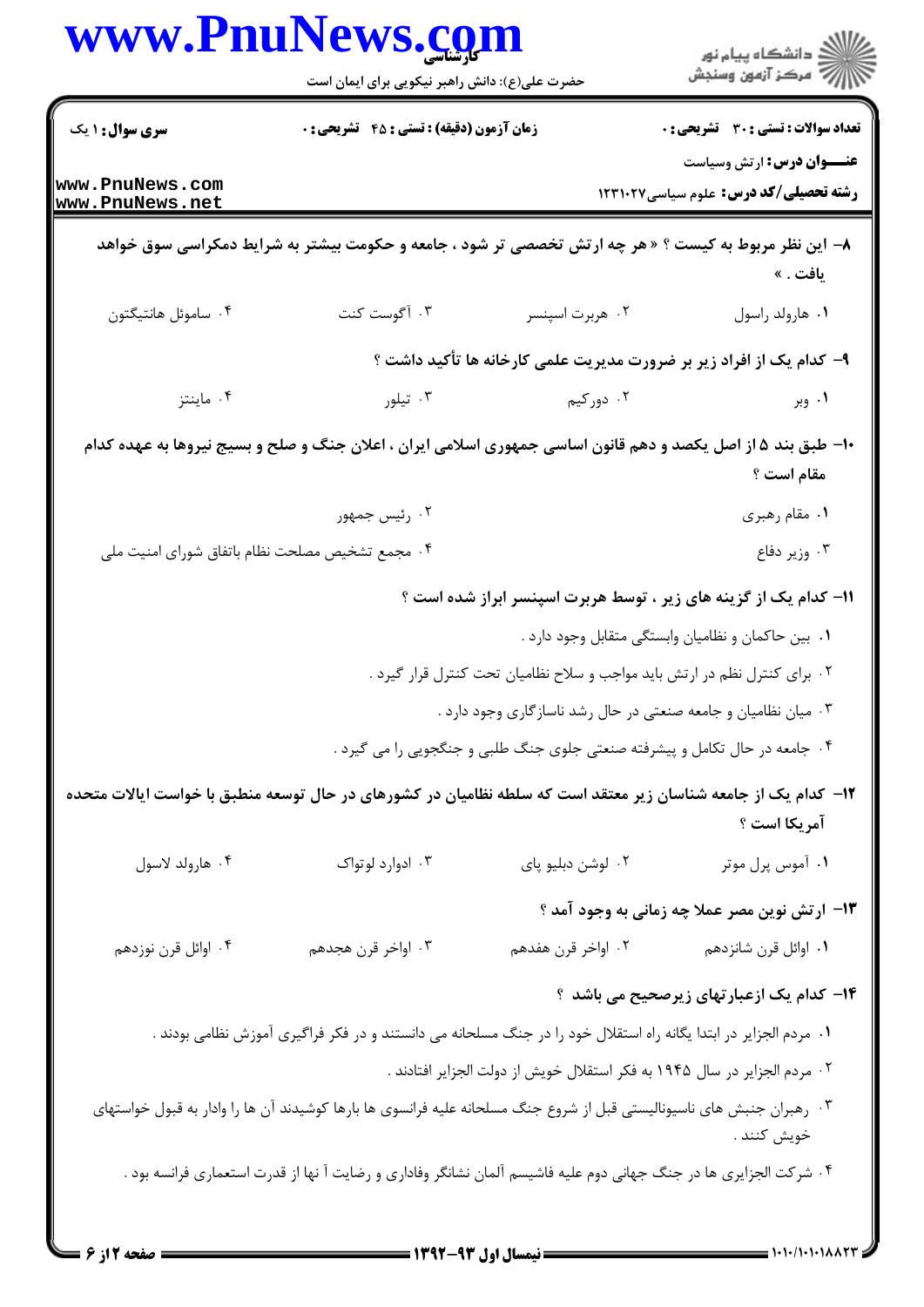|                                                 | حضرت علی(ع): دانش راهبر نیکویی برای ایمان است                                                                         |                                                                            | ر<br>دانشڪاه پيام نور<br>ا∛ مرکز آزمون وسنڊش                              |
|-------------------------------------------------|-----------------------------------------------------------------------------------------------------------------------|----------------------------------------------------------------------------|---------------------------------------------------------------------------|
| <b>سری سوال : ۱ یک</b>                          | زمان آزمون (دقیقه) : تستی : 45 آتشریحی : 0                                                                            |                                                                            | <b>تعداد سوالات : تستی : 30 ٪ تشریحی : 0</b>                              |
| www.PnuNews.com<br>www.PnuNews.net              |                                                                                                                       |                                                                            | <b>عنـــوان درس:</b> ارتش وسیاست<br>رشته تحصیلی/کد درس: علوم سیاسی۱۲۳۱۰۲۷ |
|                                                 | ۸− این نظر مربوط به کیست ؟ « هر چه ارتش تخصصی تر شود ، جامعه و حکومت بیشتر به شرایط دمکراسی سوق خواهد                 |                                                                            | يافت . »                                                                  |
| ۰۴ ساموئل هانتيگتون                             | ۰۳ آگوست کنت                                                                                                          | ۰۲ هربرت اسپنسر                                                            | ٠١ هارولد راسول                                                           |
|                                                 |                                                                                                                       |                                                                            | ۹- کدام یک از افراد زیر بر ضرورت مدیریت علمی کارخانه ها تأکید داشت ؟      |
| ۰۴ ماينتز                                       | ۰۳ تیلور                                                                                                              | ۰۲ دورکیم                                                                  | ۰۱ وبر                                                                    |
|                                                 | ۱۰- طبق بند ۵ از اصل یکصد و دهم قانون اساسی جمهوری اسلامی ایران ، اعلان جنگ و صلح و بسیج نیروها به عهده کدام          |                                                                            | مقام است ؟                                                                |
|                                                 | ۰۲ رئیس جمهور                                                                                                         |                                                                            | ٠١ مقام رهبري                                                             |
| ۰۴ مجمع تشخيص مصلحت نظام باتفاق شوراى امنيت ملى |                                                                                                                       |                                                                            | ۰۳ وزير دفاع                                                              |
|                                                 |                                                                                                                       |                                                                            | 11- کدام یک از گزینه های زیر ، توسط هربرت اسپنسر ابراز شده است ؟          |
|                                                 |                                                                                                                       |                                                                            | ۰۱ بین حاکمان و نظامیان وابستگی متقابل وجود دارد .                        |
|                                                 |                                                                                                                       | ۰۲ برای کنترل نظم در ارتش باید مواجب و سلاح نظامیان تحت کنترل قرار گیرد .  |                                                                           |
|                                                 |                                                                                                                       | ۰۳ میان نظامیان و جامعه صنعتی در حال رشد ناسازگاری وجود دارد .             |                                                                           |
|                                                 |                                                                                                                       | ۰۴ جامعه در حال تکامل و پیشرفته صنعتی جلوی جنگ طلبی و جنگجویی را می گیرد . |                                                                           |
|                                                 | ۱۲– کدام یک از جامعه شناسان زیر معتقد است که سلطه نظامیان در کشورهای در حال توسعه منطبق با خواست ایالات متحده         |                                                                            | آمريكا است ؟                                                              |
| ۰۴ هارولد لاسول                                 | ۰۳ ادوارد لوتواک                                                                                                      | ۰۲ لوشن دبليو پای                                                          | ۰۱ آموس پرل موتر                                                          |
|                                                 |                                                                                                                       |                                                                            | ۱۳- ارتش نوین مصر عملا چه زمانی به وجود آمد ؟                             |
| ۰۴ اوائل قرن نوزدهم                             | ۰۳ اواخر قرن هجدهم                                                                                                    | ۰۲ اواخر قرن هفدهم                                                         | ۰۱ اوائل قرن شانزدهم                                                      |
|                                                 |                                                                                                                       |                                                                            | <b>۱۴</b> - کدام یک ازعبارتهای زیرصحیح می باشد ؟                          |
|                                                 | ۰۱ مردم الجزایر در ابتدا یگانه راه استقلال خود را در جنگ مسلحانه می دانستند و در فکر فراگیری آموزش نظامی بودند .      |                                                                            |                                                                           |
|                                                 |                                                                                                                       | ۰۲ مردم الجزایر در سال ۱۹۴۵ به فکر استقلال خویش از دولت الجزایر افتادند .  |                                                                           |
|                                                 | ۰۳ رهبران جنبش های ناسیونالیستی قبل از شروع جنگ مسلحانه علیه فرانسوی ها بارها کوشیدند آن ها را وادار به قبول خواستهای |                                                                            | خويش كنند .                                                               |
|                                                 | ۰۴ شرکت الجزایری ها در جنگ جهانی دوم علیه فاشیسم آلمان نشانگر وفاداری و رضایت آ نها از قدرت استعماری فرانسه بود .     |                                                                            |                                                                           |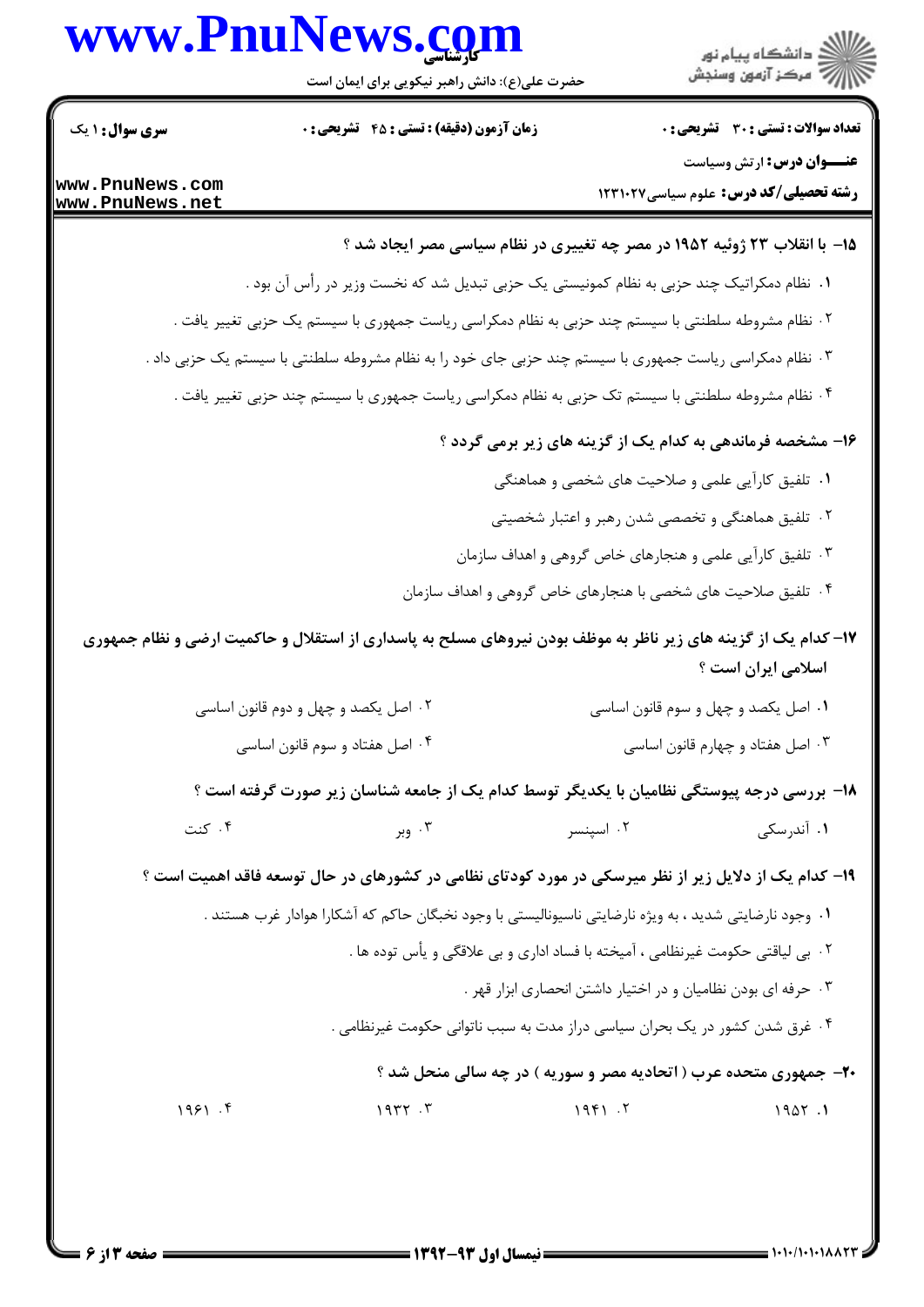## www.PnuNews.com



حضرت علی(ع): دانش راهبر نیکویی برای ایمان است

| <b>سری سوال : ۱ یک</b>             | <b>زمان آزمون (دقیقه) : تستی : 45 گشریحی : 0</b>                                                              |                                                               | <b>تعداد سوالات : تستی : 30 ٪ تشریحی : 0</b>  |
|------------------------------------|---------------------------------------------------------------------------------------------------------------|---------------------------------------------------------------|-----------------------------------------------|
|                                    |                                                                                                               |                                                               | <b>عنـــوان درس:</b> ارتش وسیاست              |
| www.PnuNews.com<br>www.PnuNews.net |                                                                                                               |                                                               | <b>رشته تحصیلی/کد درس:</b> علوم سیاسی ۱۲۳۱۰۲۷ |
|                                    |                                                                                                               |                                                               |                                               |
|                                    | ۱۵- با انقلاب ۲۳ ژوئیه ۱۹۵۲ در مصر چه تغییری در نظام سیاسی مصر ایجاد شد ؟                                     |                                                               |                                               |
|                                    | ۰۱ نظام دمکراتیک چند حزبی به نظام کمونیستی یک حزبی تبدیل شد که نخست وزیر در رأس آن بود .                      |                                                               |                                               |
|                                    | ۲ . نظام مشروطه سلطنتی با سیستم چند حزبی به نظام دمکراسی ریاست جمهوری با سیستم یک حزبی تغییر یافت .           |                                                               |                                               |
|                                    | ۰۳ نظام دمکراسی ریاست جمهوری با سیستم چند حزبی جای خود را به نظام مشروطه سلطنتی با سیستم یک حزبی داد .        |                                                               |                                               |
|                                    | ۰۴ نظام مشروطه سلطنتی با سیستم تک حزبی به نظام دمکراسی ریاست جمهوری با سیستم چند حزبی تغییر یافت .            |                                                               |                                               |
|                                    | ۱۶- مشخصه فرماندهی به کدام یک از گزینه های زیر برمی گردد ؟                                                    |                                                               |                                               |
|                                    |                                                                                                               | ۰۱ تلفیق کارآیی علمی و صلاحیت های شخصی و هماهنگی              |                                               |
|                                    |                                                                                                               | ۰۲ تلفیق هماهنگی و تخصصی شدن رهبر و اعتبار شخصیتی             |                                               |
|                                    |                                                                                                               | ۰۳ تلفیق کارآیی علمی و هنجارهای خاص گروهی و اهداف سازمان      |                                               |
|                                    | ۰۴ تلفیق صلاحیت های شخصی با هنجارهای خاص گروهی و اهداف سازمان                                                 |                                                               |                                               |
|                                    | ۱۷– کدام یک از گزینه های زیر ناظر به موظف بودن نیروهای مسلح به پاسداری از استقلال و حاکمیت ارضی و نظام جمهوری |                                                               |                                               |
|                                    |                                                                                                               |                                                               | اسلامی ایران است ؟                            |
|                                    | ۰۲ اصل یکصد و چهل و دوم قانون اساسی                                                                           | ۰۱ اصل یکصد و چهل و سوم قانون اساسی                           |                                               |
|                                    | ۰۴ اصل هفتاد و سوم قانون اساسی                                                                                |                                                               | ۰۳ اصل هفتاد و چهارم قانون اساسی              |
|                                    | ۱۸- بررسی درجه پیوستگی نظامیان با یکدیگر توسط کدام یک از جامعه شناسان زیر صورت گرفته است ؟                    |                                                               |                                               |
| ۰۴ کنت                             | ۰۳ وبر                                                                                                        | ۰۲ اسینسر                                                     | ۰۱ آندرسکی                                    |
|                                    | ۱۹- کدام یک از دلایل زیر از نظر میرسکی در مورد کودتای نظامی در کشورهای در حال توسعه فاقد اهمیت است ؟          |                                                               |                                               |
|                                    | ١.  وجود نارضايتي شديد ، به ويژه نارضايتي ناسيوناليستي با وجود نخبگان حاكم كه آشكارا هوادار غرب هستند .       |                                                               |                                               |
|                                    | ٢ . بي لياقتي حكومت غيرنظامي ، آميخته با فساد اداري و بي علاقگي و يأس توده ها .                               |                                                               |                                               |
|                                    |                                                                                                               | ۰۳ حرفه ای بودن نظامیان و در اختیار داشتن انحصاری ابزار قهر . |                                               |
|                                    | ۰۴ غرق شدن کشور در یک بحران سیاسی دراز مدت به سبب ناتوانی حکومت غیرنظامی .                                    |                                                               |                                               |
|                                    | <b>۲۰</b> جمهوری متحده عرب ( اتحادیه مصر و سوریه ) در چه سالی منحل شد ؟                                       |                                                               |                                               |
| 1951.9                             | 1977.7                                                                                                        | 1951.7                                                        | 1907.1                                        |
|                                    |                                                                                                               |                                                               |                                               |
|                                    |                                                                                                               |                                                               |                                               |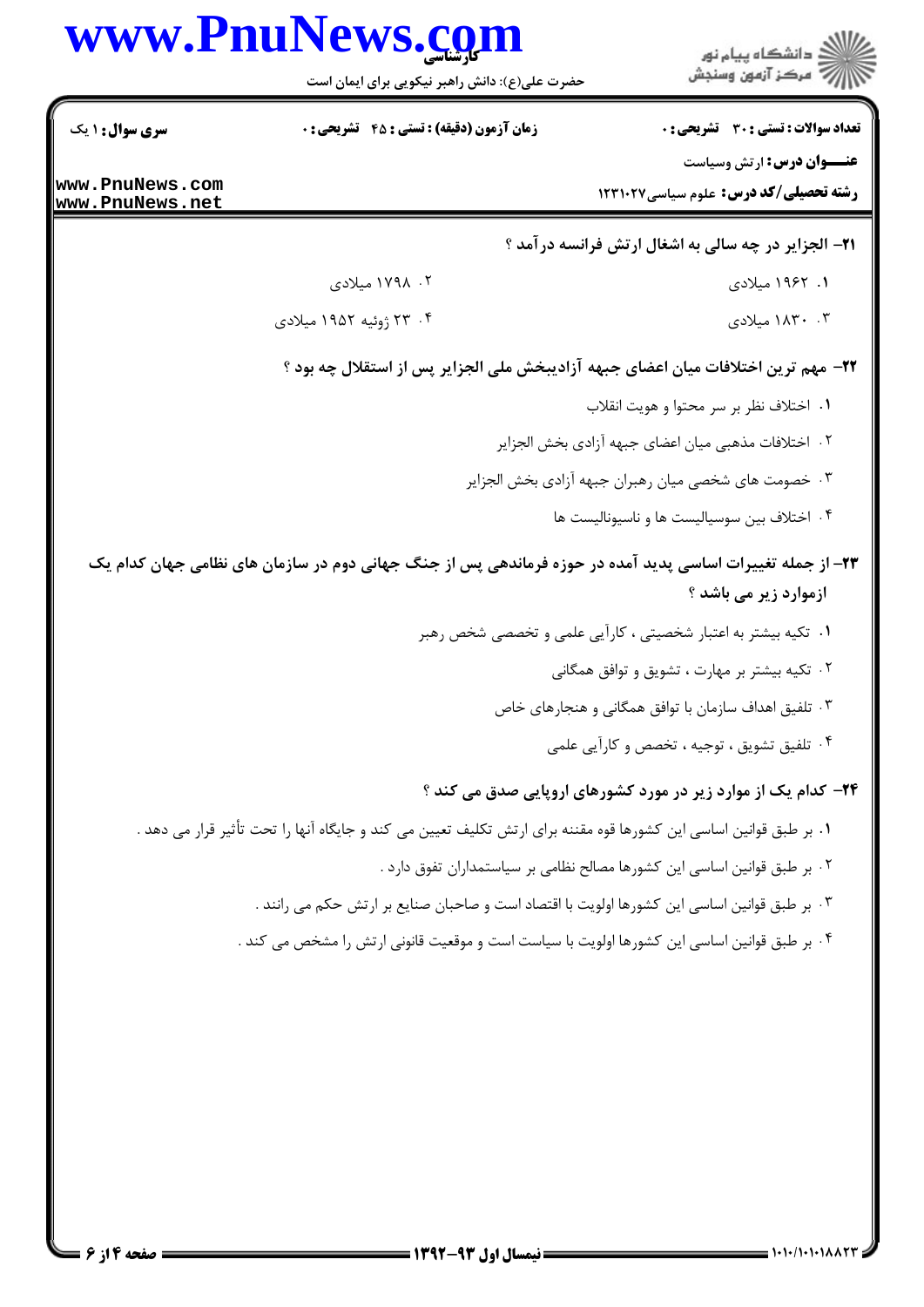|                                                                     | www.PnuNews.com<br>حضرت علی(ع): دانش راهبر نیکویی برای ایمان است                                                  | ڪ دانشڪاه پيا <sub>م</sub> نور<br>۾ سرڪز آزمون وسنڊش                                                                            |
|---------------------------------------------------------------------|-------------------------------------------------------------------------------------------------------------------|---------------------------------------------------------------------------------------------------------------------------------|
| <b>سری سوال : ۱ یک</b><br>www.PnuNews.com<br><u>www.PnuNews.net</u> | <b>زمان آزمون (دقیقه) : تستی : 45 قشریحی : 0</b>                                                                  | <b>تعداد سوالات : تستي : 30 ٪ تشريحي : 0</b><br><b>عنـــوان درس:</b> ارتش وسیاست<br><b>رشته تحصیلی/کد درس:</b> علوم سیاسی123102 |
|                                                                     |                                                                                                                   | <b>۲۱- الجزایر در چه سالی به اشغال ارتش فرانسه درآمد</b> ؟                                                                      |
|                                                                     | ۰۲ ۱۷۹۸ میلادی                                                                                                    | ۱. ۱۹۶۲ میلادی                                                                                                                  |
|                                                                     | ۰۴ ژوئیه ۱۹۵۲ میلادی                                                                                              | ۰۳ . ۱۸۳۰ میلادی                                                                                                                |
|                                                                     | ٢٢- مهم ترين اختلافات ميان اعضاى جبهه آزاديبخش ملى الجزاير پس از استقلال چه بود ؟                                 |                                                                                                                                 |
|                                                                     |                                                                                                                   | ۰۱ اختلاف نظر بر سر محتوا و هويت انقلاب                                                                                         |
|                                                                     |                                                                                                                   | ٠٢ اختلافات مذهبي ميان اعضاي جبهه آزادي بخش الجزاير                                                                             |
|                                                                     |                                                                                                                   | ۰۳ خصومت های شخصی میان رهبران جبهه آزادی بخش الجزایر                                                                            |
|                                                                     |                                                                                                                   | ۰۴ اختلاف بین سوسیالیست ها و ناسیونالیست ها                                                                                     |
|                                                                     | ۲۳– از جمله تغییرات اساسی پدید آمده در حوزه فرماندهی پس از جنگ جهانی دوم در سازمان های نظامی جهان کدام یک         | ازموارد زیر می باشد ؟                                                                                                           |
|                                                                     |                                                                                                                   | ۰۱ تکیه بیشتر به اعتبار شخصیتی ، کارآیی علمی و تخصصی شخص رهبر                                                                   |
|                                                                     |                                                                                                                   | ۰۲ تکیه بیشتر بر مهارت ، تشویق و توافق همگانی                                                                                   |
|                                                                     |                                                                                                                   | ۰۳ تلفیق اهداف سازمان با توافق همگانی و هنجارهای خاص                                                                            |
|                                                                     |                                                                                                                   | ۰۴ تلفیق تشویق ، توجیه ، تخصص و کارآیی علمی                                                                                     |
|                                                                     |                                                                                                                   | <b>۳۴</b> - کدام یک از موارد زیر در مورد کشورهای اروپایی صدق می کند ؟                                                           |
|                                                                     | ٠١ بر طبق قوانين اساسي اين كشورها قوه مقننه براي ارتش تكليف تعيين مي كند و جايگاه آنها را تحت تأثير قرار مي دهد . |                                                                                                                                 |
|                                                                     |                                                                                                                   | ٢. بر طبق قوانين اساسي اين كشورها مصالح نظامي بر سياستمداران تفوق دارد .                                                        |
|                                                                     | ۰۳ بر طبق قوانین اساسی این کشورها اولویت با اقتصاد است و صاحبان صنایع بر ارتش حکم می رانند .                      |                                                                                                                                 |
|                                                                     | ۰۴ بر طبق قوانین اساسی این کشورها اولویت با سیاست است و موقعیت قانونی ارتش را مشخص می کند .                       |                                                                                                                                 |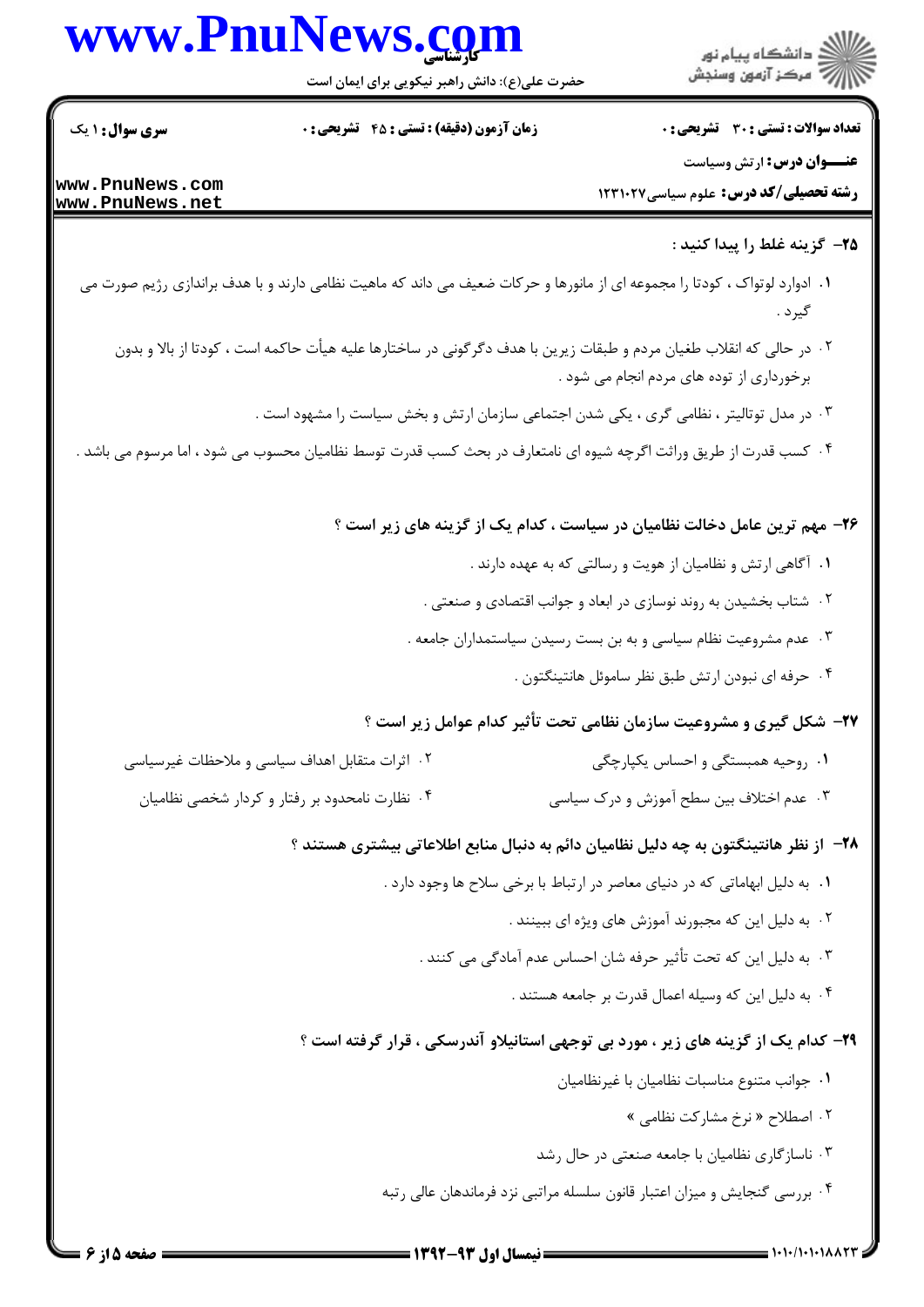|                                    | www.PnuNews.com<br>حضرت علی(ع): دانش راهبر نیکویی برای ایمان است | ر<br>اگر دانشگاه پيام نور<br>اگر مرکز آزمون وسنجش                                                                                                                |
|------------------------------------|------------------------------------------------------------------|------------------------------------------------------------------------------------------------------------------------------------------------------------------|
| <b>سری سوال : ۱ یک</b>             | زمان آزمون (دقیقه) : تستی : 45 آتشریحی : 0                       | <b>تعداد سوالات : تستی : 30 - تشریحی : 0</b>                                                                                                                     |
| www.PnuNews.com<br>www.PnuNews.net |                                                                  | <b>عنـــوان درس:</b> ارتش وسیاست<br><b>رشته تحصیلی/کد درس:</b> علوم سیاسی1۲۳۱۰۲۷                                                                                 |
|                                    |                                                                  | ۲۵– گزینه غلط را پیدا کنید :                                                                                                                                     |
|                                    |                                                                  | ۰۱ ادوارد لوتواک ، کودتا را مجموعه ای از مانورها و حرکات ضعیف می داند که ماهیت نظامی دارند و با هدف براندازی رژیم صورت می<br>گيرد .                              |
|                                    |                                                                  | ۰۲ در حالی که انقلاب طغیان مردم و طبقات زیرین با هدف دگرگونی در ساختارها علیه هیأت حاکمه است ، کودتا از بالا و بدون<br>برخورداری از توده های مردم انجام می شود . |
|                                    |                                                                  | ۰۳ در مدل توتالیتر ، نظامی گری ، یکی شدن اجتماعی سازمان ارتش و بخش سیاست را مشهود است .                                                                          |
|                                    |                                                                  | ۰۴ کسب قدرت از طریق وراثت اگرچه شیوه ای نامتعارف در بحث کسب قدرت توسط نظامیان محسوب می شود ، اما مرسوم می باشد .                                                 |
|                                    |                                                                  | ۲۶- مهم ترین عامل دخالت نظامیان در سیاست ، کدام یک از گزینه های زیر است ؟                                                                                        |
|                                    |                                                                  | ۰۱ آگاهی ارتش و نظامیان از هویت و رسالتی که به عهده دارند .                                                                                                      |
|                                    |                                                                  | ۰۲ شتاب بخشیدن به روند نوسازی در ابعاد و جوانب اقتصادی و صنعتی .                                                                                                 |
|                                    |                                                                  | ۰۳ عدم مشروعیت نظام سیاسی و به بن بست رسیدن سیاستمداران جامعه .                                                                                                  |
|                                    |                                                                  | ۰۴ حرفه ای نبودن ارتش طبق نظر ساموئل هانتینگتون .                                                                                                                |
|                                    |                                                                  | ۲۷- شکل گیری و مشروعیت سازمان نظامی تحت تأثیر کدام عوامل زیر است ؟                                                                                               |
|                                    | ۰۲ اثرات متقابل اهداف سیاسی و ملاحظات غیرسیاسی                   | ۰۱ روحیه همبستگی و احساس یکپارچگی                                                                                                                                |
|                                    | ۰۴ نظارت نامحدود بر رفتار و کردار شخصی نظامیان                   | ۰۳ عدم اختلاف بین سطح آموزش و درک سیاسی                                                                                                                          |
|                                    |                                                                  | ۲۸– از نظر هانتینگتون به چه دلیل نظامیان دائم به دنبال منابع اطلاعاتی بیشتری هستند ؟                                                                             |
|                                    |                                                                  | ۰۱ به دلیل ابهاماتی که در دنیای معاصر در ارتباط با برخی سلاح ها وجود دارد .                                                                                      |
|                                    |                                                                  | ۰۲ به دلیل این که مجبورند آموزش های ویژه ای ببینند .                                                                                                             |
|                                    |                                                                  | ۰۳ به دلیل این که تحت تأثیر حرفه شان احساس عدم آمادگی می کنند .                                                                                                  |
|                                    |                                                                  | ۰۴ به دلیل این که وسیله اعمال قدرت بر جامعه هستند .                                                                                                              |
|                                    |                                                                  | ۲۹- کدام یک از گزینه های زیر ، مورد بی توجهی استانیلاو آندرسکی ، قرار گرفته است ؟                                                                                |
|                                    |                                                                  | ٠١. جوانب متنوع مناسبات نظاميان با غيرنظاميان                                                                                                                    |
|                                    |                                                                  | ۰۲ اصطلاح « نرخ مشاركت نظامى »                                                                                                                                   |
|                                    |                                                                  | ۰۳ ناسازگاری نظامیان با جامعه صنعتی در حال رشد                                                                                                                   |
|                                    |                                                                  |                                                                                                                                                                  |

۰۴ بررسی گنجایش و میزان اعتبار قانون سلسله مراتبی نزد فرماندهان عالی رتبه